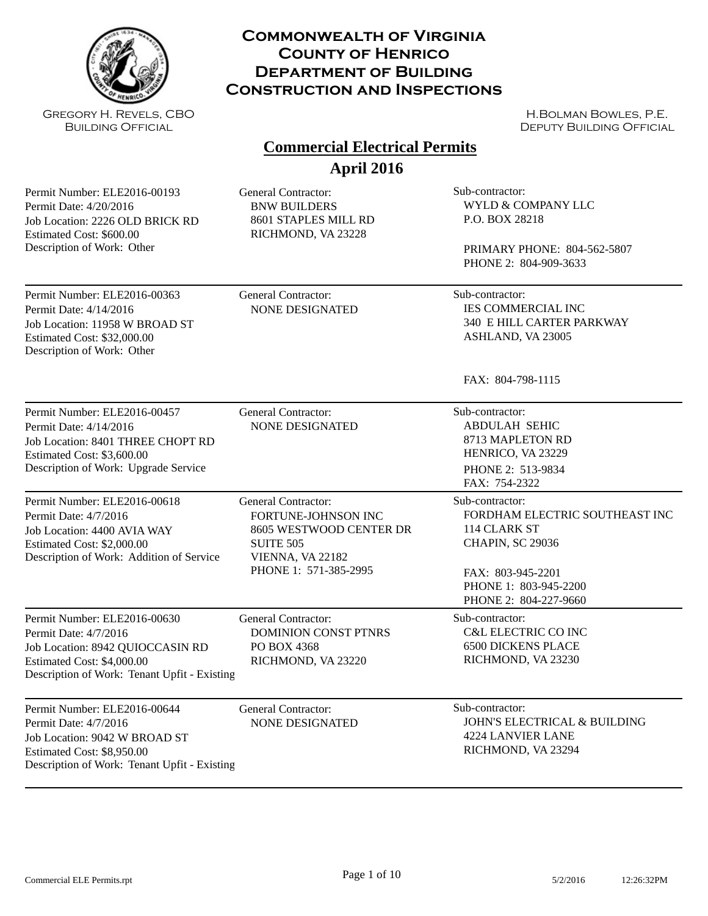

Gregory H. Revels, CBO Building Official

#### **Commonwealth of Virginia County of Henrico Department of Building Construction and Inspections**

H.Bolman Bowles, P.E. DEPUTY BUILDING OFFICIAL

#### **April 2016 Commercial Electrical Permits**

Permit Number: ELE2016-00193 Permit Date: 4/20/2016 Job Location: 2226 OLD BRICK RD Estimated Cost: \$600.00 Description of Work: Other

General Contractor: Sub-contractor: BNW BUILDERS 8601 STAPLES MILL RD RICHMOND, VA 23228

WYLD & COMPANY LLC P.O. BOX 28218

PRIMARY PHONE: 804-562-5807 PHONE 2: 804-909-3633

Permit Number: ELE2016-00363 Permit Date: 4/14/2016 Job Location: 11958 W BROAD ST Estimated Cost: \$32,000.00 Description of Work: Other

General Contractor: Sub-contractor:

NONE DESIGNATED IES COMMERCIAL INC 340 E HILL CARTER PARKWAY ASHLAND, VA 23005

FAX: 804-798-1115

| Permit Number: ELE2016-00457<br>Permit Date: 4/14/2016<br>Job Location: 8401 THREE CHOPT RD<br>Estimated Cost: \$3,600.00<br>Description of Work: Upgrade Service       | General Contractor:<br>NONE DESIGNATED                                                                                                 | Sub-contractor:<br><b>ABDULAH SEHIC</b><br>8713 MAPLETON RD<br>HENRICO, VA 23229<br>PHONE 2: 513-9834<br>FAX: 754-2322                                              |
|-------------------------------------------------------------------------------------------------------------------------------------------------------------------------|----------------------------------------------------------------------------------------------------------------------------------------|---------------------------------------------------------------------------------------------------------------------------------------------------------------------|
| Permit Number: ELE2016-00618<br>Permit Date: 4/7/2016<br>Job Location: 4400 AVIA WAY<br>Estimated Cost: \$2,000.00<br>Description of Work: Addition of Service          | General Contractor:<br>FORTUNE-JOHNSON INC<br>8605 WESTWOOD CENTER DR<br><b>SUITE 505</b><br>VIENNA, VA 22182<br>PHONE 1: 571-385-2995 | Sub-contractor:<br>FORDHAM ELECTRIC SOUTHEAST INC<br>114 CLARK ST<br><b>CHAPIN, SC 29036</b><br>FAX: 803-945-2201<br>PHONE 1: 803-945-2200<br>PHONE 2: 804-227-9660 |
| Permit Number: ELE2016-00630<br>Permit Date: 4/7/2016<br>Job Location: 8942 QUIOCCASIN RD<br>Estimated Cost: \$4,000.00<br>Description of Work: Tenant Upfit - Existing | General Contractor:<br><b>DOMINION CONST PTNRS</b><br>PO BOX 4368<br>RICHMOND, VA 23220                                                | Sub-contractor:<br><b>C&amp;L ELECTRIC CO INC</b><br><b>6500 DICKENS PLACE</b><br>RICHMOND, VA 23230                                                                |
| Permit Number: ELE2016-00644<br>Permit Date: 4/7/2016<br>Job Location: 9042 W BROAD ST<br>Estimated Cost: \$8,950.00<br>Description of Work: Tenant Upfit - Existing    | General Contractor:<br><b>NONE DESIGNATED</b>                                                                                          | Sub-contractor:<br><b>JOHN'S ELECTRICAL &amp; BUILDING</b><br><b>4224 LANVIER LANE</b><br>RICHMOND, VA 23294                                                        |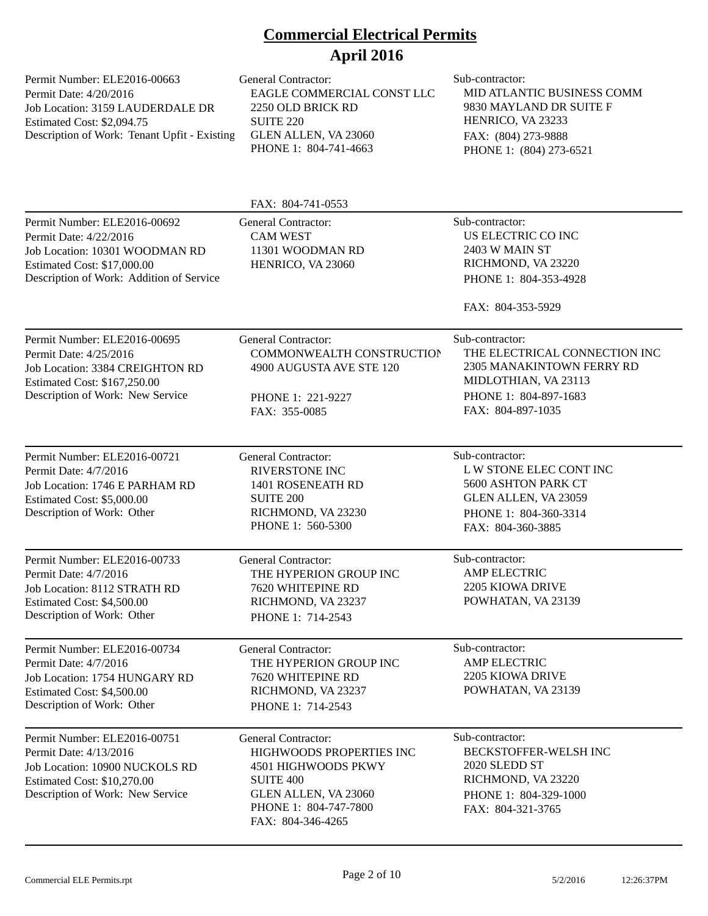Permit Number: ELE2016-00663 Permit Date: 4/20/2016 Job Location: 3159 LAUDERDALE DR Estimated Cost: \$2,094.75 Description of Work: Tenant Upfit - Existing

General Contractor: Sub-contractor: EAGLE COMMERCIAL CONST LLC 2250 OLD BRICK RD SUITE 220 GLEN ALLEN, VA 23060 PHONE 1: 804-741-4663

MID ATLANTIC BUSINESS COMM 9830 MAYLAND DR SUITE F HENRICO, VA 23233 FAX: (804) 273-9888 PHONE 1: (804) 273-6521

|                                                                                                                                                                     | FAX: 804-741-0553                                                                                                                                                       |                                                                                                                                                     |
|---------------------------------------------------------------------------------------------------------------------------------------------------------------------|-------------------------------------------------------------------------------------------------------------------------------------------------------------------------|-----------------------------------------------------------------------------------------------------------------------------------------------------|
| Permit Number: ELE2016-00692<br>Permit Date: 4/22/2016<br>Job Location: 10301 WOODMAN RD<br>Estimated Cost: \$17,000.00<br>Description of Work: Addition of Service | <b>General Contractor:</b><br><b>CAM WEST</b><br>11301 WOODMAN RD<br>HENRICO, VA 23060                                                                                  | Sub-contractor:<br>US ELECTRIC CO INC<br><b>2403 W MAIN ST</b><br>RICHMOND, VA 23220<br>PHONE 1: 804-353-4928<br>FAX: 804-353-5929                  |
| Permit Number: ELE2016-00695<br>Permit Date: 4/25/2016<br>Job Location: 3384 CREIGHTON RD<br>Estimated Cost: \$167,250.00<br>Description of Work: New Service       | <b>General Contractor:</b><br>COMMONWEALTH CONSTRUCTION<br>4900 AUGUSTA AVE STE 120<br>PHONE 1: 221-9227<br>FAX: 355-0085                                               | Sub-contractor:<br>THE ELECTRICAL CONNECTION INC<br>2305 MANAKINTOWN FERRY RD<br>MIDLOTHIAN, VA 23113<br>PHONE 1: 804-897-1683<br>FAX: 804-897-1035 |
| Permit Number: ELE2016-00721<br>Permit Date: 4/7/2016<br>Job Location: 1746 E PARHAM RD<br>Estimated Cost: \$5,000.00<br>Description of Work: Other                 | <b>General Contractor:</b><br><b>RIVERSTONE INC</b><br>1401 ROSENEATH RD<br><b>SUITE 200</b><br>RICHMOND, VA 23230<br>PHONE 1: 560-5300                                 | Sub-contractor:<br>L W STONE ELEC CONT INC<br>5600 ASHTON PARK CT<br>GLEN ALLEN, VA 23059<br>PHONE 1: 804-360-3314<br>FAX: 804-360-3885             |
| Permit Number: ELE2016-00733<br>Permit Date: 4/7/2016<br>Job Location: 8112 STRATH RD<br>Estimated Cost: \$4,500.00<br>Description of Work: Other                   | <b>General Contractor:</b><br>THE HYPERION GROUP INC<br>7620 WHITEPINE RD<br>RICHMOND, VA 23237<br>PHONE 1: 714-2543                                                    | Sub-contractor:<br><b>AMP ELECTRIC</b><br>2205 KIOWA DRIVE<br>POWHATAN, VA 23139                                                                    |
| Permit Number: ELE2016-00734<br>Permit Date: 4/7/2016<br>Job Location: 1754 HUNGARY RD<br>Estimated Cost: \$4,500.00<br>Description of Work: Other                  | <b>General Contractor:</b><br>THE HYPERION GROUP INC<br>7620 WHITEPINE RD<br>RICHMOND, VA 23237<br>PHONE 1: 714-2543                                                    | Sub-contractor:<br><b>AMP ELECTRIC</b><br>2205 KIOWA DRIVE<br>POWHATAN, VA 23139                                                                    |
| Permit Number: ELE2016-00751<br>Permit Date: 4/13/2016<br>Job Location: 10900 NUCKOLS RD<br>Estimated Cost: \$10,270.00<br>Description of Work: New Service         | <b>General Contractor:</b><br>HIGHWOODS PROPERTIES INC<br>4501 HIGHWOODS PKWY<br><b>SUITE 400</b><br>GLEN ALLEN, VA 23060<br>PHONE 1: 804-747-7800<br>FAX: 804-346-4265 | Sub-contractor:<br>BECKSTOFFER-WELSH INC<br>2020 SLEDD ST<br>RICHMOND, VA 23220<br>PHONE 1: 804-329-1000<br>FAX: 804-321-3765                       |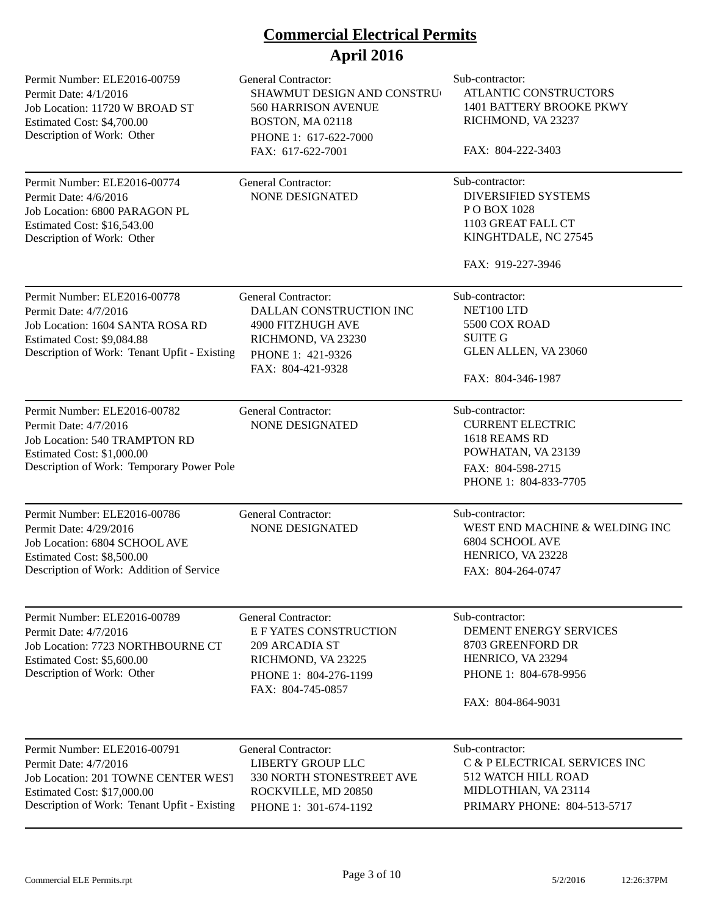| Permit Number: ELE2016-00759<br>Permit Date: 4/1/2016<br>Job Location: 11720 W BROAD ST<br>Estimated Cost: \$4,700.00<br>Description of Work: Other                         | <b>General Contractor:</b><br>SHAWMUT DESIGN AND CONSTRU<br>560 HARRISON AVENUE<br>BOSTON, MA 02118<br>PHONE 1: 617-622-7000<br>FAX: 617-622-7001 | Sub-contractor:<br>ATLANTIC CONSTRUCTORS<br>1401 BATTERY BROOKE PKWY<br>RICHMOND, VA 23237<br>FAX: 804-222-3403                       |
|-----------------------------------------------------------------------------------------------------------------------------------------------------------------------------|---------------------------------------------------------------------------------------------------------------------------------------------------|---------------------------------------------------------------------------------------------------------------------------------------|
| Permit Number: ELE2016-00774<br>Permit Date: 4/6/2016<br>Job Location: 6800 PARAGON PL<br>Estimated Cost: \$16,543.00<br>Description of Work: Other                         | <b>General Contractor:</b><br><b>NONE DESIGNATED</b>                                                                                              | Sub-contractor:<br><b>DIVERSIFIED SYSTEMS</b><br>PO BOX 1028<br>1103 GREAT FALL CT<br>KINGHTDALE, NC 27545<br>FAX: 919-227-3946       |
| Permit Number: ELE2016-00778<br>Permit Date: 4/7/2016<br>Job Location: 1604 SANTA ROSA RD<br>Estimated Cost: \$9,084.88<br>Description of Work: Tenant Upfit - Existing     | <b>General Contractor:</b><br>DALLAN CONSTRUCTION INC<br>4900 FITZHUGH AVE<br>RICHMOND, VA 23230<br>PHONE 1: 421-9326<br>FAX: 804-421-9328        | Sub-contractor:<br>NET100 LTD<br>5500 COX ROAD<br><b>SUITE G</b><br>GLEN ALLEN, VA 23060<br>FAX: 804-346-1987                         |
| Permit Number: ELE2016-00782<br>Permit Date: 4/7/2016<br>Job Location: 540 TRAMPTON RD<br>Estimated Cost: \$1,000.00<br>Description of Work: Temporary Power Pole           | <b>General Contractor:</b><br>NONE DESIGNATED                                                                                                     | Sub-contractor:<br><b>CURRENT ELECTRIC</b><br>1618 REAMS RD<br>POWHATAN, VA 23139<br>FAX: 804-598-2715<br>PHONE 1: 804-833-7705       |
| Permit Number: ELE2016-00786<br>Permit Date: 4/29/2016<br>Job Location: 6804 SCHOOL AVE<br>Estimated Cost: \$8,500.00<br>Description of Work: Addition of Service           | <b>General Contractor:</b><br><b>NONE DESIGNATED</b>                                                                                              | Sub-contractor:<br>WEST END MACHINE & WELDING INC<br><b>6804 SCHOOL AVE</b><br>HENRICO, VA 23228<br>FAX: 804-264-0747                 |
| Permit Number: ELE2016-00789<br>Permit Date: 4/7/2016<br>Job Location: 7723 NORTHBOURNE CT<br>Estimated Cost: \$5,600.00<br>Description of Work: Other                      | <b>General Contractor:</b><br><b>E F YATES CONSTRUCTION</b><br>209 ARCADIA ST<br>RICHMOND, VA 23225<br>PHONE 1: 804-276-1199<br>FAX: 804-745-0857 | Sub-contractor:<br>DEMENT ENERGY SERVICES<br>8703 GREENFORD DR<br>HENRICO, VA 23294<br>PHONE 1: 804-678-9956<br>FAX: 804-864-9031     |
| Permit Number: ELE2016-00791<br>Permit Date: 4/7/2016<br>Job Location: 201 TOWNE CENTER WEST<br>Estimated Cost: \$17,000.00<br>Description of Work: Tenant Upfit - Existing | <b>General Contractor:</b><br><b>LIBERTY GROUP LLC</b><br>330 NORTH STONESTREET AVE<br>ROCKVILLE, MD 20850<br>PHONE 1: 301-674-1192               | Sub-contractor:<br>C & P ELECTRICAL SERVICES INC<br><b>512 WATCH HILL ROAD</b><br>MIDLOTHIAN, VA 23114<br>PRIMARY PHONE: 804-513-5717 |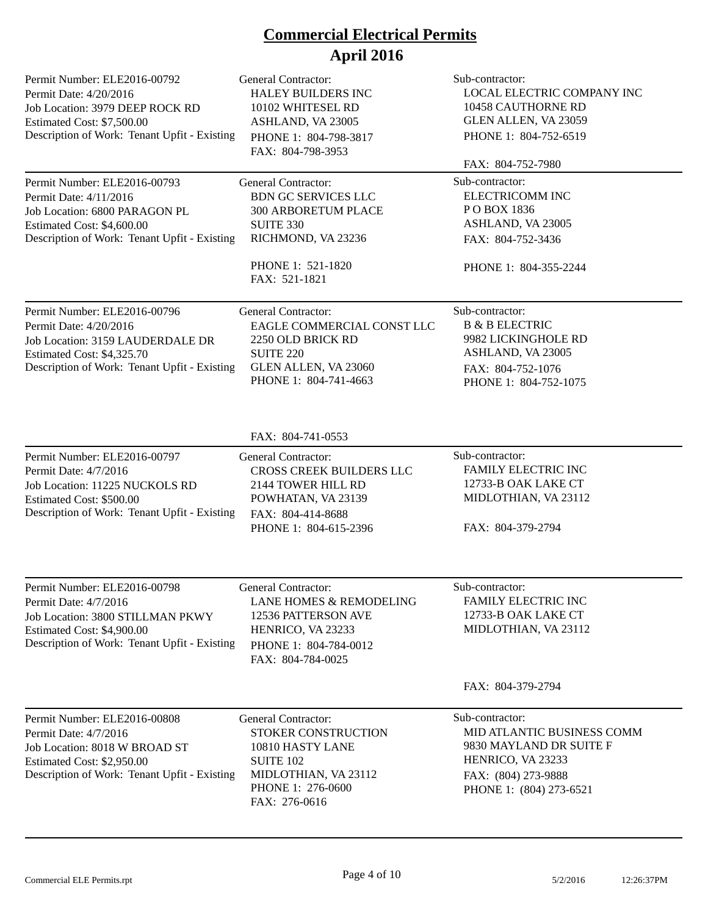| Permit Number: ELE2016-00792<br>Permit Date: 4/20/2016<br>Job Location: 3979 DEEP ROCK RD<br>Estimated Cost: \$7,500.00<br>Description of Work: Tenant Upfit - Existing  | <b>General Contractor:</b><br>HALEY BUILDERS INC<br>10102 WHITESEL RD<br>ASHLAND, VA 23005<br>PHONE 1: 804-798-3817<br>FAX: 804-798-3953                        | Sub-contractor:<br>LOCAL ELECTRIC COMPANY INC<br>10458 CAUTHORNE RD<br>GLEN ALLEN, VA 23059<br>PHONE 1: 804-752-6519<br>FAX: 804-752-7980       |
|--------------------------------------------------------------------------------------------------------------------------------------------------------------------------|-----------------------------------------------------------------------------------------------------------------------------------------------------------------|-------------------------------------------------------------------------------------------------------------------------------------------------|
| Permit Number: ELE2016-00793<br>Permit Date: 4/11/2016<br>Job Location: 6800 PARAGON PL<br>Estimated Cost: \$4,600.00<br>Description of Work: Tenant Upfit - Existing    | <b>General Contractor:</b><br><b>BDN GC SERVICES LLC</b><br><b>300 ARBORETUM PLACE</b><br>SUITE 330<br>RICHMOND, VA 23236<br>PHONE 1: 521-1820<br>FAX: 521-1821 | Sub-contractor:<br>ELECTRICOMM INC<br>PO BOX 1836<br>ASHLAND, VA 23005<br>FAX: 804-752-3436<br>PHONE 1: 804-355-2244                            |
| Permit Number: ELE2016-00796<br>Permit Date: 4/20/2016<br>Job Location: 3159 LAUDERDALE DR<br>Estimated Cost: \$4,325.70<br>Description of Work: Tenant Upfit - Existing | <b>General Contractor:</b><br>EAGLE COMMERCIAL CONST LLC<br>2250 OLD BRICK RD<br><b>SUITE 220</b><br>GLEN ALLEN, VA 23060<br>PHONE 1: 804-741-4663              | Sub-contractor:<br><b>B &amp; B ELECTRIC</b><br>9982 LICKINGHOLE RD<br>ASHLAND, VA 23005<br>FAX: 804-752-1076<br>PHONE 1: 804-752-1075          |
|                                                                                                                                                                          | FAX: 804-741-0553                                                                                                                                               |                                                                                                                                                 |
| Permit Number: ELE2016-00797<br>Permit Date: 4/7/2016<br>Job Location: 11225 NUCKOLS RD<br>Estimated Cost: \$500.00<br>Description of Work: Tenant Upfit - Existing      | <b>General Contractor:</b><br>CROSS CREEK BUILDERS LLC<br>2144 TOWER HILL RD<br>POWHATAN, VA 23139<br>FAX: 804-414-8688<br>PHONE 1: 804-615-2396                | Sub-contractor:<br><b>FAMILY ELECTRIC INC</b><br>12733-B OAK LAKE CT<br>MIDLOTHIAN, VA 23112<br>FAX: 804-379-2794                               |
| Permit Number: ELE2016-00798<br>Permit Date: 4/7/2016<br>Job Location: 3800 STILLMAN PKWY<br>Estimated Cost: \$4,900.00<br>Description of Work: Tenant Upfit - Existing  | General Contractor:<br>LANE HOMES & REMODELING<br>12536 PATTERSON AVE<br>HENRICO, VA 23233<br>PHONE 1: 804-784-0012<br>FAX: 804-784-0025                        | Sub-contractor:<br>FAMILY ELECTRIC INC<br>12733-B OAK LAKE CT<br>MIDLOTHIAN, VA 23112                                                           |
|                                                                                                                                                                          |                                                                                                                                                                 | FAX: 804-379-2794                                                                                                                               |
| Permit Number: ELE2016-00808<br>Permit Date: 4/7/2016<br>Job Location: 8018 W BROAD ST<br>Estimated Cost: \$2,950.00<br>Description of Work: Tenant Upfit - Existing     | <b>General Contractor:</b><br>STOKER CONSTRUCTION<br>10810 HASTY LANE<br><b>SUITE 102</b><br>MIDLOTHIAN, VA 23112<br>PHONE 1: 276-0600<br>FAX: 276-0616         | Sub-contractor:<br>MID ATLANTIC BUSINESS COMM<br>9830 MAYLAND DR SUITE F<br>HENRICO, VA 23233<br>FAX: (804) 273-9888<br>PHONE 1: (804) 273-6521 |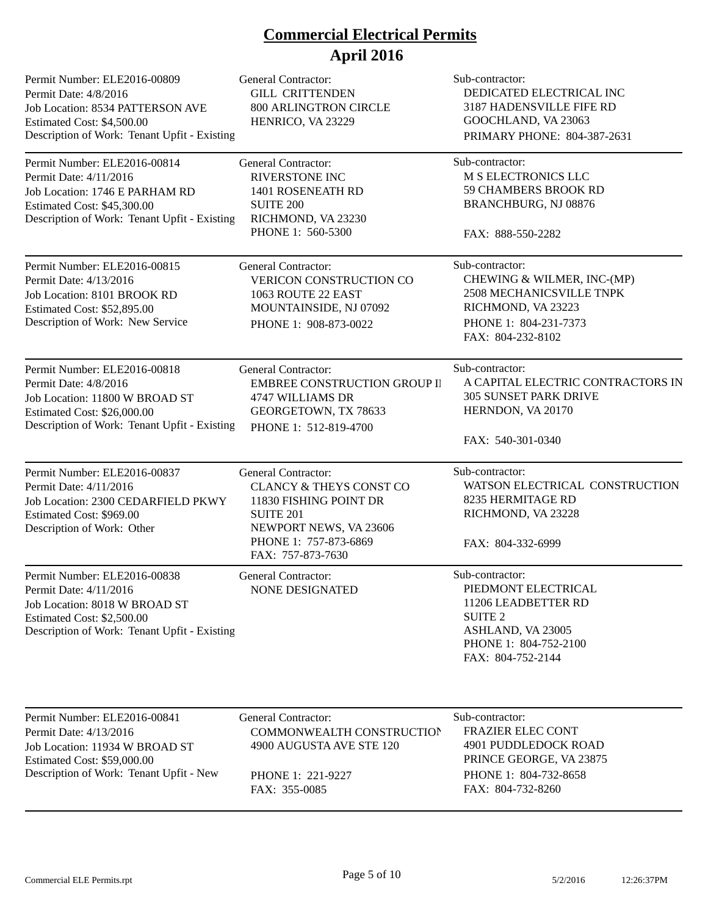| Permit Number: ELE2016-00809<br>Permit Date: 4/8/2016<br>Job Location: 8534 PATTERSON AVE<br>Estimated Cost: \$4,500.00<br>Description of Work: Tenant Upfit - Existing | <b>General Contractor:</b><br><b>GILL CRITTENDEN</b><br><b>800 ARLINGTRON CIRCLE</b><br>HENRICO, VA 23229                                                                              | Sub-contractor:<br>DEDICATED ELECTRICAL INC<br>3187 HADENSVILLE FIFE RD<br>GOOCHLAND, VA 23063<br>PRIMARY PHONE: 804-387-2631                      |
|-------------------------------------------------------------------------------------------------------------------------------------------------------------------------|----------------------------------------------------------------------------------------------------------------------------------------------------------------------------------------|----------------------------------------------------------------------------------------------------------------------------------------------------|
| Permit Number: ELE2016-00814<br>Permit Date: 4/11/2016<br>Job Location: 1746 E PARHAM RD<br>Estimated Cost: \$45,300.00<br>Description of Work: Tenant Upfit - Existing | General Contractor:<br><b>RIVERSTONE INC</b><br>1401 ROSENEATH RD<br><b>SUITE 200</b><br>RICHMOND, VA 23230<br>PHONE 1: 560-5300                                                       | Sub-contractor:<br>M S ELECTRONICS LLC<br><b>59 CHAMBERS BROOK RD</b><br>BRANCHBURG, NJ 08876<br>FAX: 888-550-2282                                 |
| Permit Number: ELE2016-00815<br>Permit Date: 4/13/2016<br>Job Location: 8101 BROOK RD<br>Estimated Cost: \$52,895.00<br>Description of Work: New Service                | General Contractor:<br>VERICON CONSTRUCTION CO<br>1063 ROUTE 22 EAST<br>MOUNTAINSIDE, NJ 07092<br>PHONE 1: 908-873-0022                                                                | Sub-contractor:<br>CHEWING & WILMER, INC-(MP)<br>2508 MECHANICSVILLE TNPK<br>RICHMOND, VA 23223<br>PHONE 1: 804-231-7373<br>FAX: 804-232-8102      |
| Permit Number: ELE2016-00818<br>Permit Date: 4/8/2016<br>Job Location: 11800 W BROAD ST<br>Estimated Cost: \$26,000.00<br>Description of Work: Tenant Upfit - Existing  | <b>General Contractor:</b><br>EMBREE CONSTRUCTION GROUP II<br>4747 WILLIAMS DR<br>GEORGETOWN, TX 78633<br>PHONE 1: 512-819-4700                                                        | Sub-contractor:<br>A CAPITAL ELECTRIC CONTRACTORS IN<br><b>305 SUNSET PARK DRIVE</b><br>HERNDON, VA 20170<br>FAX: 540-301-0340                     |
| Permit Number: ELE2016-00837<br>Permit Date: 4/11/2016<br>Job Location: 2300 CEDARFIELD PKWY<br>Estimated Cost: \$969.00<br>Description of Work: Other                  | <b>General Contractor:</b><br><b>CLANCY &amp; THEYS CONST CO</b><br>11830 FISHING POINT DR<br><b>SUITE 201</b><br>NEWPORT NEWS, VA 23606<br>PHONE 1: 757-873-6869<br>FAX: 757-873-7630 | Sub-contractor:<br>WATSON ELECTRICAL CONSTRUCTION<br>8235 HERMITAGE RD<br>RICHMOND, VA 23228<br>FAX: 804-332-6999                                  |
| Permit Number: ELE2016-00838<br>Permit Date: 4/11/2016<br>Job Location: 8018 W BROAD ST<br>Estimated Cost: \$2,500.00<br>Description of Work: Tenant Upfit - Existing   | <b>General Contractor:</b><br><b>NONE DESIGNATED</b>                                                                                                                                   | Sub-contractor:<br>PIEDMONT ELECTRICAL<br>11206 LEADBETTER RD<br><b>SUITE 2</b><br>ASHLAND, VA 23005<br>PHONE 1: 804-752-2100<br>FAX: 804-752-2144 |
| Permit Number: ELE2016-00841<br>Permit Date: 4/13/2016<br>Job Location: 11934 W BROAD ST<br>Estimated Cost: \$59,000.00<br>Description of Work: Tenant Upfit - New      | <b>General Contractor:</b><br>COMMONWEALTH CONSTRUCTION<br>4900 AUGUSTA AVE STE 120<br>PHONE 1: 221-9227<br>FAX: 355-0085                                                              | Sub-contractor:<br><b>FRAZIER ELEC CONT</b><br>4901 PUDDLEDOCK ROAD<br>PRINCE GEORGE, VA 23875<br>PHONE 1: 804-732-8658<br>FAX: 804-732-8260       |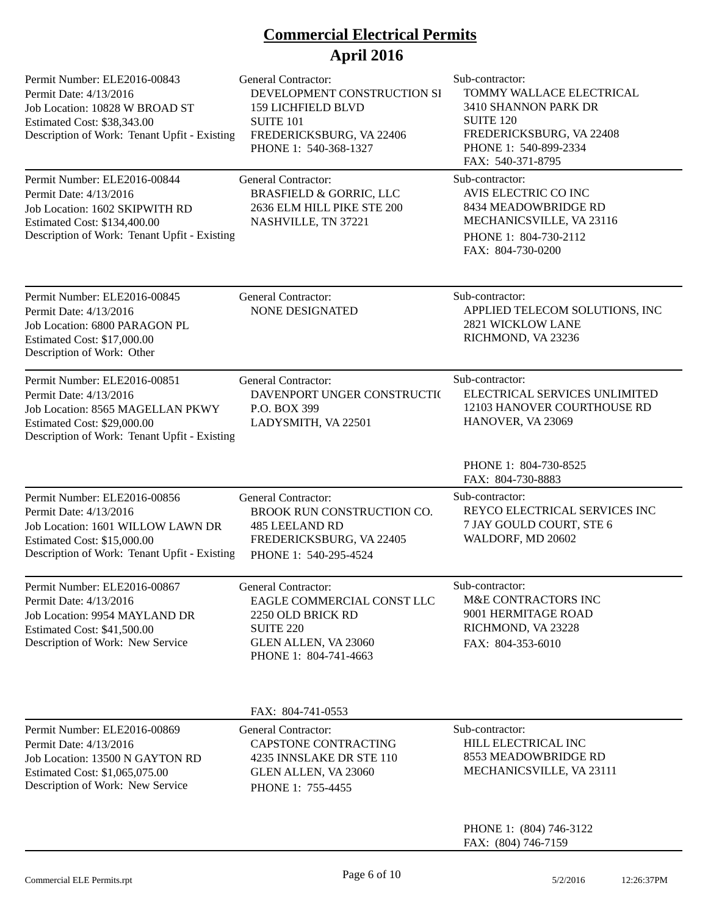| Permit Number: ELE2016-00843<br>Permit Date: 4/13/2016<br>Job Location: 10828 W BROAD ST<br>Estimated Cost: \$38,343.00<br>Description of Work: Tenant Upfit - Existing    | <b>General Contractor:</b><br>DEVELOPMENT CONSTRUCTION SI<br><b>159 LICHFIELD BLVD</b><br><b>SUITE 101</b><br>FREDERICKSBURG, VA 22406<br>PHONE 1: 540-368-1327 | Sub-contractor:<br>TOMMY WALLACE ELECTRICAL<br>3410 SHANNON PARK DR<br><b>SUITE 120</b><br>FREDERICKSBURG, VA 22408<br>PHONE 1: 540-899-2334<br>FAX: 540-371-8795 |
|----------------------------------------------------------------------------------------------------------------------------------------------------------------------------|-----------------------------------------------------------------------------------------------------------------------------------------------------------------|-------------------------------------------------------------------------------------------------------------------------------------------------------------------|
| Permit Number: ELE2016-00844<br>Permit Date: 4/13/2016<br>Job Location: 1602 SKIPWITH RD<br>Estimated Cost: \$134,400.00<br>Description of Work: Tenant Upfit - Existing   | <b>General Contractor:</b><br><b>BRASFIELD &amp; GORRIC, LLC</b><br>2636 ELM HILL PIKE STE 200<br>NASHVILLE, TN 37221                                           | Sub-contractor:<br>AVIS ELECTRIC CO INC<br>8434 MEADOWBRIDGE RD<br>MECHANICSVILLE, VA 23116<br>PHONE 1: 804-730-2112<br>FAX: 804-730-0200                         |
| Permit Number: ELE2016-00845<br>Permit Date: 4/13/2016<br>Job Location: 6800 PARAGON PL<br><b>Estimated Cost: \$17,000.00</b><br>Description of Work: Other                | <b>General Contractor:</b><br><b>NONE DESIGNATED</b>                                                                                                            | Sub-contractor:<br>APPLIED TELECOM SOLUTIONS, INC<br>2821 WICKLOW LANE<br>RICHMOND, VA 23236                                                                      |
| Permit Number: ELE2016-00851<br>Permit Date: 4/13/2016<br>Job Location: 8565 MAGELLAN PKWY<br>Estimated Cost: \$29,000.00<br>Description of Work: Tenant Upfit - Existing  | <b>General Contractor:</b><br>DAVENPORT UNGER CONSTRUCTIO<br>P.O. BOX 399<br>LADYSMITH, VA 22501                                                                | Sub-contractor:<br>ELECTRICAL SERVICES UNLIMITED<br>12103 HANOVER COURTHOUSE RD<br>HANOVER, VA 23069                                                              |
|                                                                                                                                                                            |                                                                                                                                                                 | PHONE 1: 804-730-8525<br>FAX: 804-730-8883                                                                                                                        |
| Permit Number: ELE2016-00856<br>Permit Date: 4/13/2016<br>Job Location: 1601 WILLOW LAWN DR<br>Estimated Cost: \$15,000.00<br>Description of Work: Tenant Upfit - Existing | <b>General Contractor:</b><br>BROOK RUN CONSTRUCTION CO.<br><b>485 LEELAND RD</b><br>FREDERICKSBURG, VA 22405<br>PHONE 1: 540-295-4524                          | Sub-contractor:<br>REYCO ELECTRICAL SERVICES INC<br>7 JAY GOULD COURT, STE 6<br>WALDORF, MD 20602                                                                 |
| Permit Number: ELE2016-00867<br>Permit Date: 4/13/2016<br>Job Location: 9954 MAYLAND DR<br><b>Estimated Cost: \$41,500.00</b><br>Description of Work: New Service          | General Contractor:<br>EAGLE COMMERCIAL CONST LLC<br>2250 OLD BRICK RD<br><b>SUITE 220</b><br>GLEN ALLEN, VA 23060<br>PHONE 1: 804-741-4663                     | Sub-contractor:<br>M&E CONTRACTORS INC<br>9001 HERMITAGE ROAD<br>RICHMOND, VA 23228<br>FAX: 804-353-6010                                                          |
|                                                                                                                                                                            | FAX: 804-741-0553                                                                                                                                               |                                                                                                                                                                   |
| Permit Number: ELE2016-00869<br>Permit Date: 4/13/2016<br>Job Location: 13500 N GAYTON RD<br>Estimated Cost: \$1,065,075.00<br>Description of Work: New Service            | <b>General Contractor:</b><br>CAPSTONE CONTRACTING<br>4235 INNSLAKE DR STE 110<br>GLEN ALLEN, VA 23060<br>PHONE 1: 755-4455                                     | Sub-contractor:<br>HILL ELECTRICAL INC<br>8553 MEADOWBRIDGE RD<br>MECHANICSVILLE, VA 23111                                                                        |
|                                                                                                                                                                            |                                                                                                                                                                 | PHONE 1: (804) 746-3122<br>FAX: (804) 746-7159                                                                                                                    |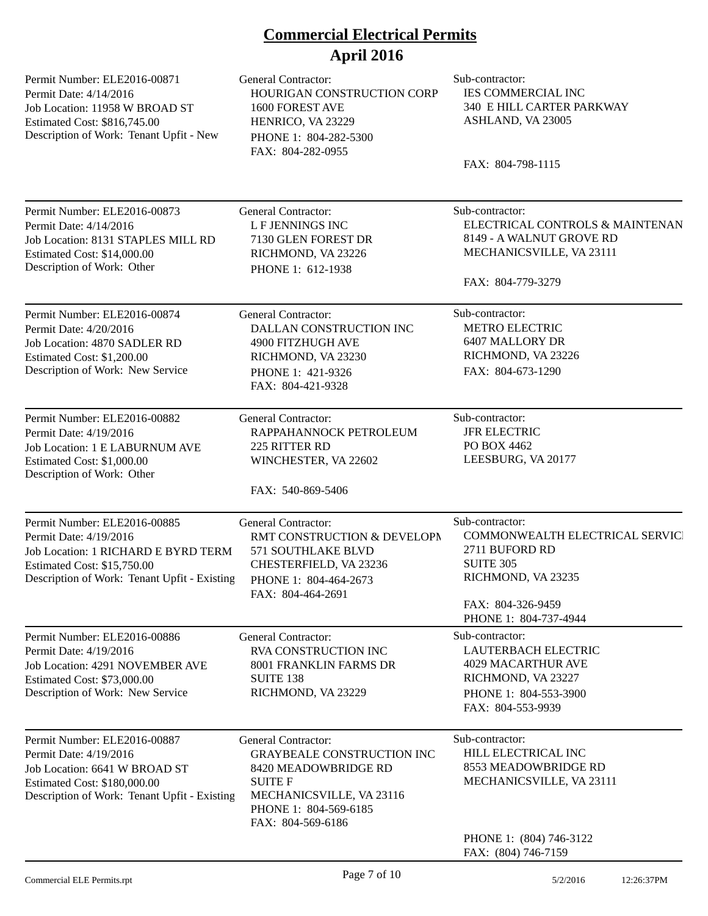| Permit Number: ELE2016-00871<br>Permit Date: 4/14/2016<br>Job Location: 11958 W BROAD ST<br>Estimated Cost: \$816,745.00<br>Description of Work: Tenant Upfit - New                 | <b>General Contractor:</b><br>HOURIGAN CONSTRUCTION CORP<br>1600 FOREST AVE<br>HENRICO, VA 23229<br>PHONE 1: 804-282-5300<br>FAX: 804-282-0955                                      | Sub-contractor:<br><b>IES COMMERCIAL INC</b><br>340 E HILL CARTER PARKWAY<br>ASHLAND, VA 23005<br>FAX: 804-798-1115                                          |
|-------------------------------------------------------------------------------------------------------------------------------------------------------------------------------------|-------------------------------------------------------------------------------------------------------------------------------------------------------------------------------------|--------------------------------------------------------------------------------------------------------------------------------------------------------------|
| Permit Number: ELE2016-00873<br>Permit Date: 4/14/2016<br>Job Location: 8131 STAPLES MILL RD<br>Estimated Cost: \$14,000.00<br>Description of Work: Other                           | <b>General Contractor:</b><br><b>LF JENNINGS INC</b><br>7130 GLEN FOREST DR<br>RICHMOND, VA 23226<br>PHONE 1: 612-1938                                                              | Sub-contractor:<br>ELECTRICAL CONTROLS & MAINTENAN<br>8149 - A WALNUT GROVE RD<br>MECHANICSVILLE, VA 23111<br>FAX: 804-779-3279                              |
| Permit Number: ELE2016-00874<br>Permit Date: 4/20/2016<br>Job Location: 4870 SADLER RD<br>Estimated Cost: \$1,200.00<br>Description of Work: New Service                            | <b>General Contractor:</b><br>DALLAN CONSTRUCTION INC<br>4900 FITZHUGH AVE<br>RICHMOND, VA 23230<br>PHONE 1: 421-9326<br>FAX: 804-421-9328                                          | Sub-contractor:<br><b>METRO ELECTRIC</b><br>6407 MALLORY DR<br>RICHMOND, VA 23226<br>FAX: 804-673-1290                                                       |
| Permit Number: ELE2016-00882<br>Permit Date: 4/19/2016<br>Job Location: 1 E LABURNUM AVE<br>Estimated Cost: \$1,000.00<br>Description of Work: Other                                | General Contractor:<br>RAPPAHANNOCK PETROLEUM<br>225 RITTER RD<br>WINCHESTER, VA 22602<br>FAX: 540-869-5406                                                                         | Sub-contractor:<br><b>JFR ELECTRIC</b><br>PO BOX 4462<br>LEESBURG, VA 20177                                                                                  |
| Permit Number: ELE2016-00885<br>Permit Date: 4/19/2016<br>Job Location: 1 RICHARD E BYRD TERM<br><b>Estimated Cost: \$15,750.00</b><br>Description of Work: Tenant Upfit - Existing | <b>General Contractor:</b><br>RMT CONSTRUCTION & DEVELOPM<br>571 SOUTHLAKE BLVD<br>CHESTERFIELD, VA 23236<br>PHONE 1: 804-464-2673<br>FAX: 804-464-2691                             | Sub-contractor:<br>COMMONWEALTH ELECTRICAL SERVICI<br>2711 BUFORD RD<br><b>SUITE 305</b><br>RICHMOND, VA 23235<br>FAX: 804-326-9459<br>PHONE 1: 804-737-4944 |
| Permit Number: ELE2016-00886<br>Permit Date: 4/19/2016<br>Job Location: 4291 NOVEMBER AVE<br>Estimated Cost: \$73,000.00<br>Description of Work: New Service                        | <b>General Contractor:</b><br>RVA CONSTRUCTION INC<br>8001 FRANKLIN FARMS DR<br><b>SUITE 138</b><br>RICHMOND, VA 23229                                                              | Sub-contractor:<br><b>LAUTERBACH ELECTRIC</b><br><b>4029 MACARTHUR AVE</b><br>RICHMOND, VA 23227<br>PHONE 1: 804-553-3900<br>FAX: 804-553-9939               |
| Permit Number: ELE2016-00887<br>Permit Date: 4/19/2016<br>Job Location: 6641 W BROAD ST<br>Estimated Cost: \$180,000.00<br>Description of Work: Tenant Upfit - Existing             | <b>General Contractor:</b><br><b>GRAYBEALE CONSTRUCTION INC</b><br>8420 MEADOWBRIDGE RD<br><b>SUITE F</b><br>MECHANICSVILLE, VA 23116<br>PHONE 1: 804-569-6185<br>FAX: 804-569-6186 | Sub-contractor:<br>HILL ELECTRICAL INC<br>8553 MEADOWBRIDGE RD<br>MECHANICSVILLE, VA 23111<br>PHONE 1: (804) 746-3122<br>FAX: (804) 746-7159                 |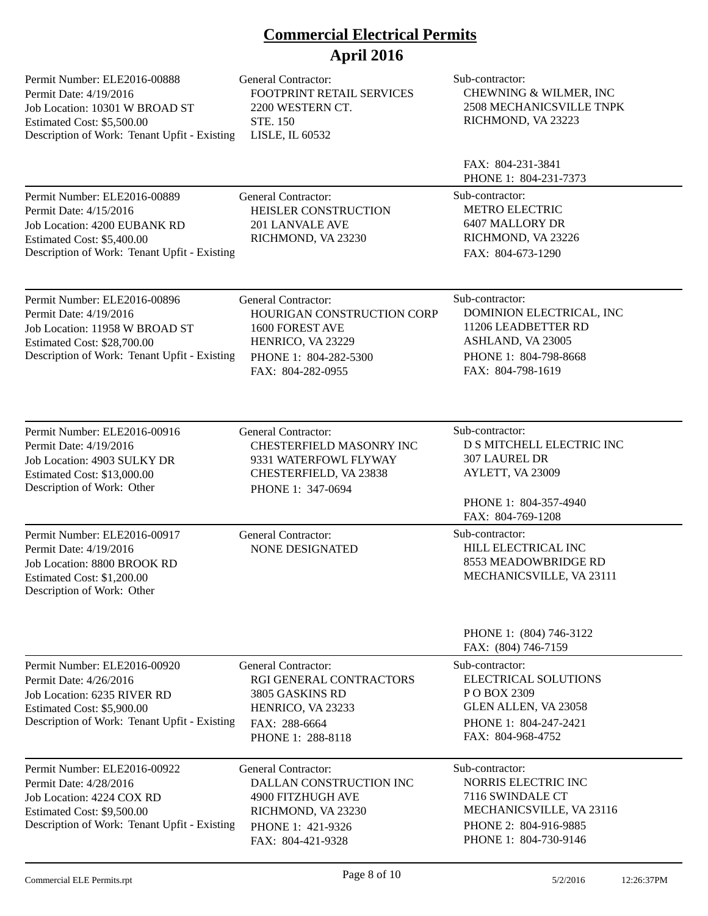| Permit Number: ELE2016-00888<br>Permit Date: 4/19/2016<br>Job Location: 10301 W BROAD ST<br>Estimated Cost: \$5,500.00<br>Description of Work: Tenant Upfit - Existing  | <b>General Contractor:</b><br>FOOTPRINT RETAIL SERVICES<br>2200 WESTERN CT.<br><b>STE. 150</b><br>LISLE, IL 60532                              | Sub-contractor:<br>CHEWNING & WILMER, INC<br><b>2508 MECHANICSVILLE TNPK</b><br>RICHMOND, VA 23223                                       |
|-------------------------------------------------------------------------------------------------------------------------------------------------------------------------|------------------------------------------------------------------------------------------------------------------------------------------------|------------------------------------------------------------------------------------------------------------------------------------------|
|                                                                                                                                                                         |                                                                                                                                                | FAX: 804-231-3841<br>PHONE 1: 804-231-7373                                                                                               |
| Permit Number: ELE2016-00889<br>Permit Date: 4/15/2016<br>Job Location: 4200 EUBANK RD<br>Estimated Cost: \$5,400.00<br>Description of Work: Tenant Upfit - Existing    | <b>General Contractor:</b><br>HEISLER CONSTRUCTION<br>201 LANVALE AVE<br>RICHMOND, VA 23230                                                    | Sub-contractor:<br><b>METRO ELECTRIC</b><br>6407 MALLORY DR<br>RICHMOND, VA 23226<br>FAX: 804-673-1290                                   |
| Permit Number: ELE2016-00896<br>Permit Date: 4/19/2016<br>Job Location: 11958 W BROAD ST<br>Estimated Cost: \$28,700.00<br>Description of Work: Tenant Upfit - Existing | <b>General Contractor:</b><br>HOURIGAN CONSTRUCTION CORP<br>1600 FOREST AVE<br>HENRICO, VA 23229<br>PHONE 1: 804-282-5300<br>FAX: 804-282-0955 | Sub-contractor:<br>DOMINION ELECTRICAL, INC<br>11206 LEADBETTER RD<br>ASHLAND, VA 23005<br>PHONE 1: 804-798-8668<br>FAX: 804-798-1619    |
| Permit Number: ELE2016-00916<br>Permit Date: 4/19/2016<br>Job Location: 4903 SULKY DR<br>Estimated Cost: \$13,000.00<br>Description of Work: Other                      | General Contractor:<br>CHESTERFIELD MASONRY INC<br>9331 WATERFOWL FLYWAY<br>CHESTERFIELD, VA 23838<br>PHONE 1: 347-0694                        | Sub-contractor:<br>D S MITCHELL ELECTRIC INC<br><b>307 LAUREL DR</b><br>AYLETT, VA 23009<br>PHONE 1: 804-357-4940<br>FAX: 804-769-1208   |
| Permit Number: ELE2016-00917<br>Permit Date: 4/19/2016<br>Job Location: 8800 BROOK RD<br>Estimated Cost: \$1,200.00<br>Description of Work: Other                       | <b>General Contractor:</b><br><b>NONE DESIGNATED</b>                                                                                           | Sub-contractor:<br>HILL ELECTRICAL INC<br>8553 MEADOWBRIDGE RD<br>MECHANICSVILLE, VA 23111                                               |
|                                                                                                                                                                         |                                                                                                                                                | PHONE 1: (804) 746-3122<br>FAX: (804) 746-7159                                                                                           |
| Permit Number: ELE2016-00920<br>Permit Date: 4/26/2016<br>Job Location: 6235 RIVER RD<br>Estimated Cost: \$5,900.00<br>Description of Work: Tenant Upfit - Existing     | <b>General Contractor:</b><br>RGI GENERAL CONTRACTORS<br>3805 GASKINS RD<br>HENRICO, VA 23233<br>FAX: 288-6664<br>PHONE 1: 288-8118            | Sub-contractor:<br><b>ELECTRICAL SOLUTIONS</b><br>PO BOX 2309<br>GLEN ALLEN, VA 23058<br>PHONE 1: 804-247-2421<br>FAX: 804-968-4752      |
| Permit Number: ELE2016-00922<br>Permit Date: 4/28/2016<br>Job Location: 4224 COX RD<br>Estimated Cost: \$9,500.00<br>Description of Work: Tenant Upfit - Existing       | <b>General Contractor:</b><br>DALLAN CONSTRUCTION INC<br>4900 FITZHUGH AVE<br>RICHMOND, VA 23230<br>PHONE 1: 421-9326<br>FAX: 804-421-9328     | Sub-contractor:<br>NORRIS ELECTRIC INC<br>7116 SWINDALE CT<br>MECHANICSVILLE, VA 23116<br>PHONE 2: 804-916-9885<br>PHONE 1: 804-730-9146 |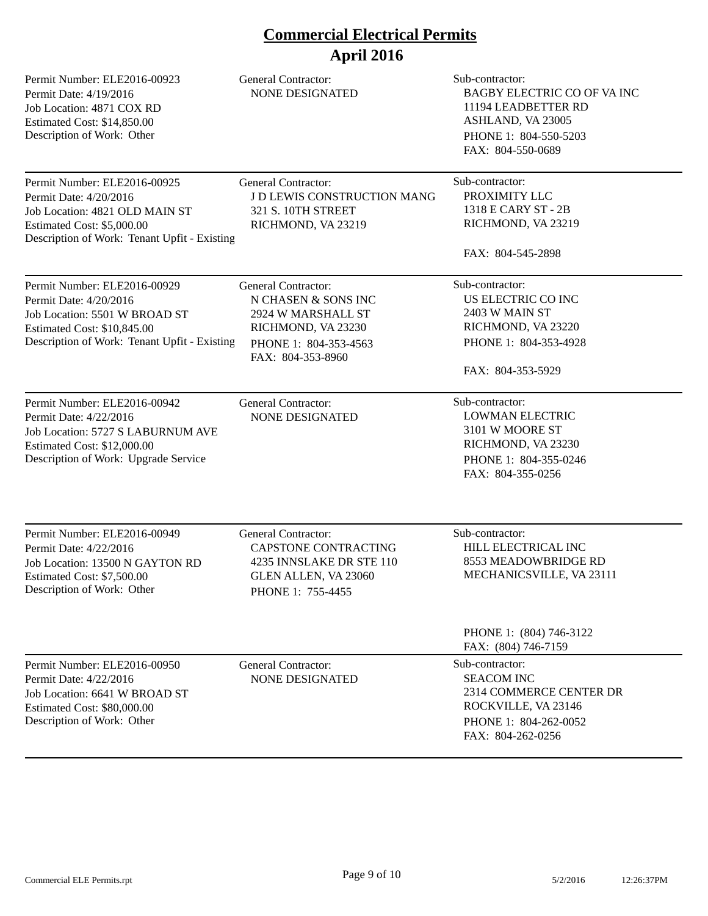| Permit Number: ELE2016-00923<br>Permit Date: 4/19/2016<br>Job Location: 4871 COX RD<br>Estimated Cost: \$14,850.00<br>Description of Work: Other                       | <b>General Contractor:</b><br><b>NONE DESIGNATED</b>                                                                                        | Sub-contractor:<br>BAGBY ELECTRIC CO OF VAINC<br>11194 LEADBETTER RD<br>ASHLAND, VA 23005<br>PHONE 1: 804-550-5203<br>FAX: 804-550-0689 |
|------------------------------------------------------------------------------------------------------------------------------------------------------------------------|---------------------------------------------------------------------------------------------------------------------------------------------|-----------------------------------------------------------------------------------------------------------------------------------------|
| Permit Number: ELE2016-00925<br>Permit Date: 4/20/2016<br>Job Location: 4821 OLD MAIN ST<br>Estimated Cost: \$5,000.00<br>Description of Work: Tenant Upfit - Existing | <b>General Contractor:</b><br>J D LEWIS CONSTRUCTION MANG<br><b>321 S. 10TH STREET</b><br>RICHMOND, VA 23219                                | Sub-contractor:<br>PROXIMITY LLC<br>1318 E CARY ST - 2B<br>RICHMOND, VA 23219<br>FAX: 804-545-2898                                      |
| Permit Number: ELE2016-00929<br>Permit Date: 4/20/2016<br>Job Location: 5501 W BROAD ST<br>Estimated Cost: \$10,845.00<br>Description of Work: Tenant Upfit - Existing | <b>General Contractor:</b><br>N CHASEN & SONS INC<br>2924 W MARSHALL ST<br>RICHMOND, VA 23230<br>PHONE 1: 804-353-4563<br>FAX: 804-353-8960 | Sub-contractor:<br>US ELECTRIC CO INC<br>2403 W MAIN ST<br>RICHMOND, VA 23220<br>PHONE 1: 804-353-4928<br>FAX: 804-353-5929             |
| Permit Number: ELE2016-00942<br>Permit Date: 4/22/2016<br>Job Location: 5727 S LABURNUM AVE<br>Estimated Cost: \$12,000.00<br>Description of Work: Upgrade Service     | <b>General Contractor:</b><br><b>NONE DESIGNATED</b>                                                                                        | Sub-contractor:<br><b>LOWMAN ELECTRIC</b><br>3101 W MOORE ST<br>RICHMOND, VA 23230<br>PHONE 1: 804-355-0246<br>FAX: 804-355-0256        |
| Permit Number: ELE2016-00949<br>Permit Date: 4/22/2016<br>Job Location: 13500 N GAYTON RD<br>Estimated Cost: \$7,500.00<br>Description of Work: Other                  | General Contractor:<br><b>CAPSTONE CONTRACTING</b><br>4235 INNSLAKE DR STE 110<br>GLEN ALLEN, VA 23060<br>PHONE 1: 755-4455                 | Sub-contractor:<br>HILL ELECTRICAL INC<br>8553 MEADOWBRIDGE RD<br>MECHANICSVILLE, VA 23111                                              |
|                                                                                                                                                                        |                                                                                                                                             | PHONE 1: (804) 746-3122<br>FAX: (804) 746-7159                                                                                          |
| Permit Number: ELE2016-00950<br>Permit Date: 4/22/2016<br>Job Location: 6641 W BROAD ST<br>Estimated Cost: \$80,000.00<br>Description of Work: Other                   | <b>General Contractor:</b><br><b>NONE DESIGNATED</b>                                                                                        | Sub-contractor:<br><b>SEACOM INC</b><br>2314 COMMERCE CENTER DR<br>ROCKVILLE, VA 23146<br>PHONE 1: 804-262-0052<br>FAX: 804-262-0256    |